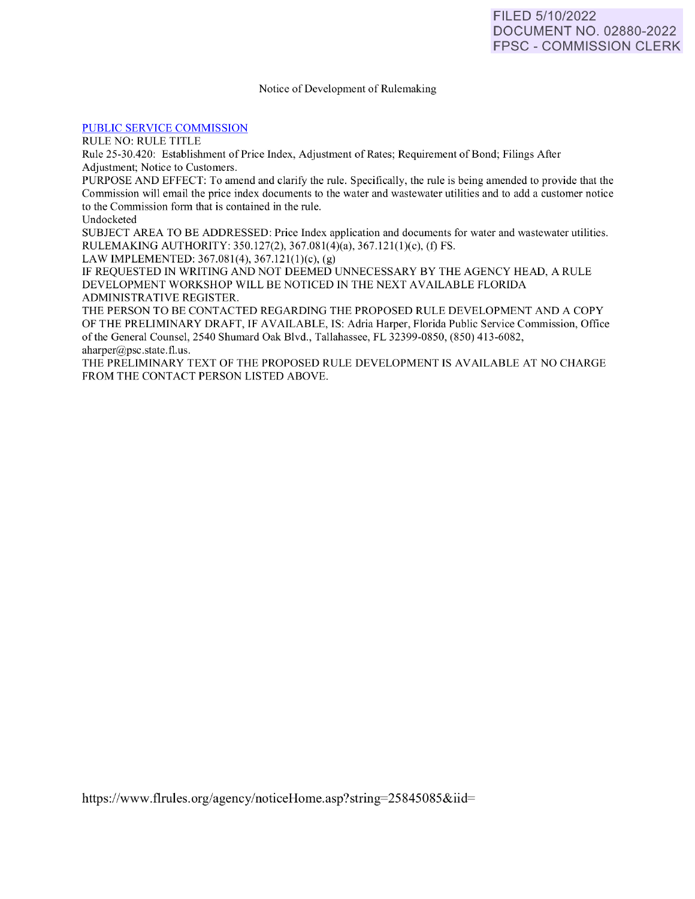### Notice of Development of Rulemaking

### [PUBLIC SERVICE COMMISSION](https://www.flrules.org/gateway/department.asp?id=25)

RULE NO: RULE TITLE

Rule 25-30.420: Establishment of Price Index, Adjustment of Rates; Requirement of Bond; Filings After Adjustment; Notice to Customers.

PURPOSE AND EFFECT: To amend and clarify the rule. Specifically, the rule is being amended to provide that the Commission will email the price index documents to the water and wastewater utilities and to add a customer notice to the Commission form that is contained in the rule.

Undocketed

SUBJECT AREA TO BE ADDRESSED: Price Index application and documents for water and wastewater utilities. RULEMAKING AUTHORITY: 350. 127(2), 367.08 1(4)(a), 367. 12l(l)(c), (t) FS.

LAW IMPLEMENTED:  $367.081(4)$ ,  $367.121(1)(c)$ , (g)

IF REQUESTED fN WRITfNG AND NOT DEEMED UNNECESSARY BY THE AGENCY HEAD, A RULE DEVELOPMENT WORKSHOP WILL BE NOTICED IN THE NEXT AVAILABLE FLORIDA ADMINISTRATIVE REGISTER.

THE PERSON TO BE CONTACTED REGARDING THE PROPOSED RULE DEVELOPMENT AND A COPY OF THE PRELIMINARY DRAFT, IF AVAILABLE, IS: Adria Harper, Florida Public Service Commission, Office of the General Counsel, 2540 Shumard Oak Blvd., Tallahassee, FL 32399-0850, (850) 413-6082, aharper@psc.state.fl.us.

THE PRELIMINARY TEXT OF THE PROPOSED RULE DEVELOPMENT IS AVAILABLE AT NO CHARGE FROM THE CONTACT PERSON LISTED ABOVE.